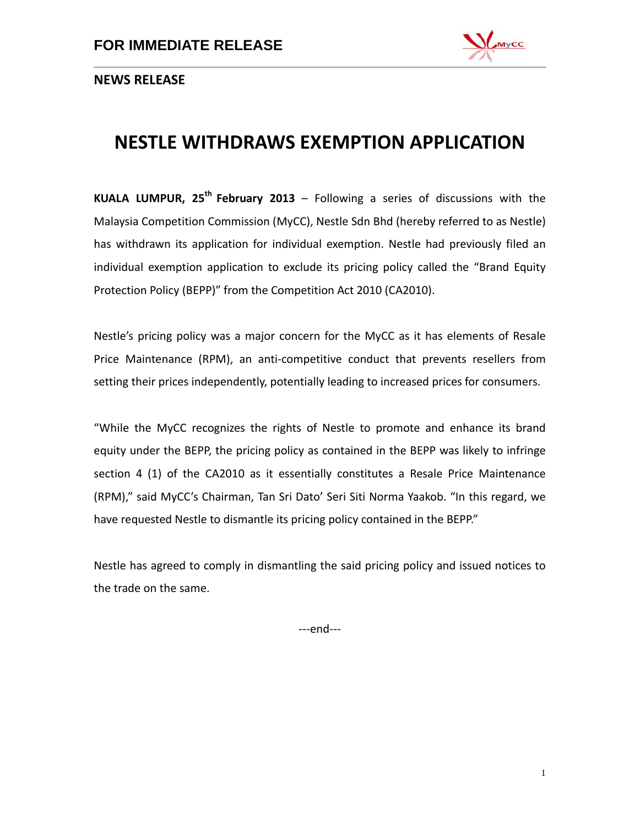

**NEWS RELEASE**

## **NESTLE WITHDRAWS EXEMPTION APPLICATION**

**KUALA LUMPUR, 25th February 2013** – Following a series of discussions with the Malaysia Competition Commission (MyCC), Nestle Sdn Bhd (hereby referred to as Nestle) has withdrawn its application for individual exemption. Nestle had previously filed an individual exemption application to exclude its pricing policy called the "Brand Equity Protection Policy (BEPP)" from the Competition Act 2010 (CA2010).

Nestle's pricing policy was a major concern for the MyCC as it has elements of Resale Price Maintenance (RPM), an anti-competitive conduct that prevents resellers from setting their prices independently, potentially leading to increased prices for consumers.

"While the MyCC recognizes the rights of Nestle to promote and enhance its brand equity under the BEPP, the pricing policy as contained in the BEPP was likely to infringe section 4 (1) of the CA2010 as it essentially constitutes a Resale Price Maintenance (RPM)," said MyCC's Chairman, Tan Sri Dato' Seri Siti Norma Yaakob. "In this regard, we have requested Nestle to dismantle its pricing policy contained in the BEPP."

Nestle has agreed to comply in dismantling the said pricing policy and issued notices to the trade on the same.

---end---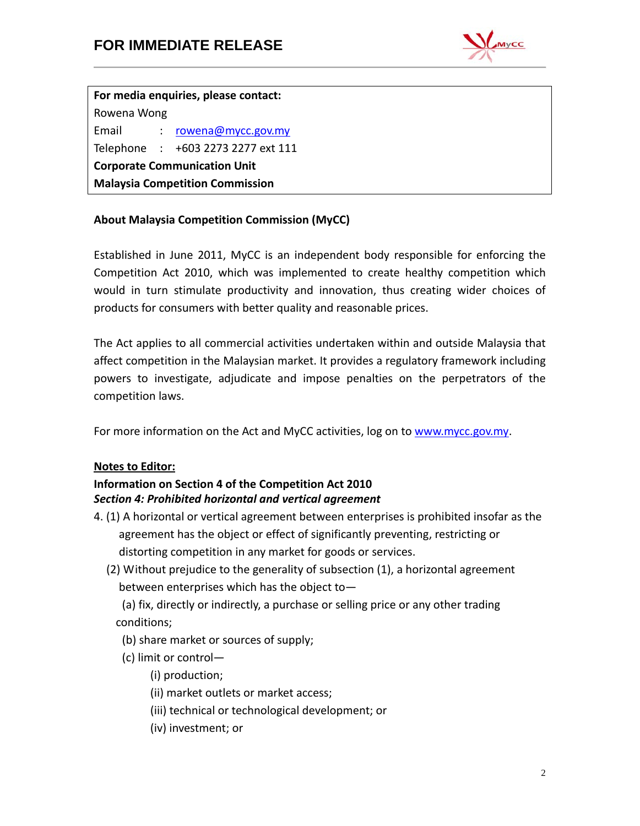

**For media enquiries, please contact:** Rowena Wong Email : [rowena@mycc.gov.my](mailto:rowena@mycc.gov.my) Telephone : +603 2273 2277 ext 111 **Corporate Communication Unit Malaysia Competition Commission**

**About Malaysia Competition Commission (MyCC)**

Established in June 2011, MyCC is an independent body responsible for enforcing the Competition Act 2010, which was implemented to create healthy competition which would in turn stimulate productivity and innovation, thus creating wider choices of products for consumers with better quality and reasonable prices.

The Act applies to all commercial activities undertaken within and outside Malaysia that affect competition in the Malaysian market. It provides a regulatory framework including powers to investigate, adjudicate and impose penalties on the perpetrators of the competition laws.

For more information on the Act and MyCC activities, log on to [www.mycc.gov.my.](http://www.mycc.gov.my/)

## **Notes to Editor:**

## **Information on Section 4 of the Competition Act 2010** *Section 4: Prohibited horizontal and vertical agreement*

- 4. (1) A horizontal or vertical agreement between enterprises is prohibited insofar as the agreement has the object or effect of significantly preventing, restricting or distorting competition in any market for goods or services.
	- (2) Without prejudice to the generality of subsection (1), a horizontal agreement between enterprises which has the object to—

(a) fix, directly or indirectly, a purchase or selling price or any other trading conditions;

- (b) share market or sources of supply;
- (c) limit or control—
	- (i) production;
	- (ii) market outlets or market access;
	- (iii) technical or technological development; or
	- (iv) investment; or